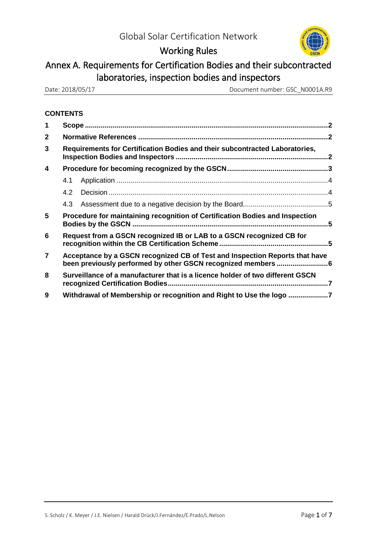

## Working Rules

# Annex A. Requirements for Certification Bodies and their subcontracted laboratories, inspection bodies and inspectors

Date: 2018/05/17 Document number: GSC\_N0001A.R9

## **CONTENTS**

| 1            |                                                                               |  |  |
|--------------|-------------------------------------------------------------------------------|--|--|
| $\mathbf{2}$ |                                                                               |  |  |
| 3            | Requirements for Certification Bodies and their subcontracted Laboratories,   |  |  |
| 4            |                                                                               |  |  |
|              | 4.1                                                                           |  |  |
|              | 4.2                                                                           |  |  |
|              | 4.3                                                                           |  |  |
| 5            | Procedure for maintaining recognition of Certification Bodies and Inspection  |  |  |
| 6            | Request from a GSCN recognized IB or LAB to a GSCN recognized CB for          |  |  |
| 7            | Acceptance by a GSCN recognized CB of Test and Inspection Reports that have   |  |  |
| 8            | Surveillance of a manufacturer that is a licence holder of two different GSCN |  |  |
| 9            | Withdrawal of Membership or recognition and Right to Use the logo 7           |  |  |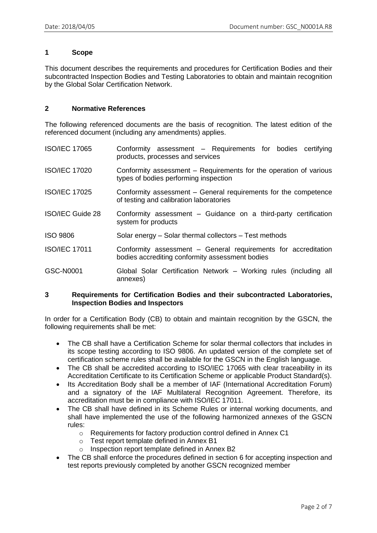### **1 Scope**

This document describes the requirements and procedures for Certification Bodies and their subcontracted Inspection Bodies and Testing Laboratories to obtain and maintain recognition by the Global Solar Certification Network.

#### **2 Normative References**

The following referenced documents are the basis of recognition. The latest edition of the referenced document (including any amendments) applies.

| <b>ISO/IEC 17065</b> | Conformity assessment - Requirements for bodies certifying<br>products, processes and services                    |
|----------------------|-------------------------------------------------------------------------------------------------------------------|
| <b>ISO/IEC 17020</b> | Conformity assessment – Requirements for the operation of various<br>types of bodies performing inspection        |
| <b>ISO/IEC 17025</b> | Conformity assessment – General requirements for the competence<br>of testing and calibration laboratories        |
| ISO/IEC Guide 28     | Conformity assessment – Guidance on a third-party certification<br>system for products                            |
| <b>ISO 9806</b>      | Solar energy – Solar thermal collectors – Test methods                                                            |
| <b>ISO/IEC 17011</b> | Conformity assessment – General requirements for accreditation<br>bodies accrediting conformity assessment bodies |
| GSC-N0001            | Global Solar Certification Network - Working rules (including all<br>annexes)                                     |

#### **3 Requirements for Certification Bodies and their subcontracted Laboratories, Inspection Bodies and Inspectors**

In order for a Certification Body (CB) to obtain and maintain recognition by the GSCN, the following requirements shall be met:

- The CB shall have a Certification Scheme for solar thermal collectors that includes in its scope testing according to ISO 9806. An updated version of the complete set of certification scheme rules shall be available for the GSCN in the English language.
- The CB shall be accredited according to ISO/IEC 17065 with clear traceability in its Accreditation Certificate to its Certification Scheme or applicable Product Standard(s).
- Its Accreditation Body shall be a member of IAF (International Accreditation Forum) and a signatory of the IAF Multilateral Recognition Agreement. Therefore, its accreditation must be in compliance with ISO/IEC 17011.
- The CB shall have defined in its Scheme Rules or internal working documents, and shall have implemented the use of the following harmonized annexes of the GSCN rules:
	- o Requirements for factory production control defined in Annex C1
	- o Test report template defined in Annex B1
	- o Inspection report template defined in Annex B2
- The CB shall enforce the procedures defined in section 6 for accepting inspection and test reports previously completed by another GSCN recognized member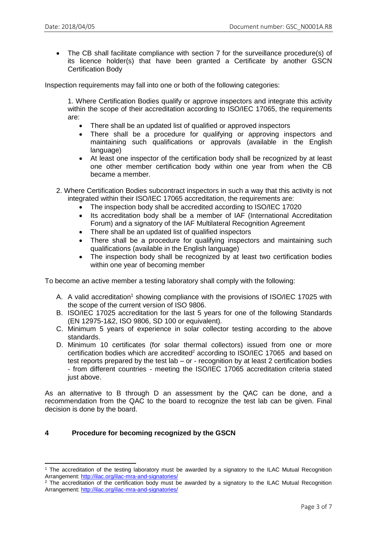• The CB shall facilitate compliance with section 7 for the surveillance procedure(s) of its licence holder(s) that have been granted a Certificate by another GSCN Certification Body

Inspection requirements may fall into one or both of the following categories:

1. Where Certification Bodies qualify or approve inspectors and integrate this activity within the scope of their accreditation according to ISO/IEC 17065, the requirements are:

- There shall be an updated list of qualified or approved inspectors
- There shall be a procedure for qualifying or approving inspectors and maintaining such qualifications or approvals (available in the English language)
- At least one inspector of the certification body shall be recognized by at least one other member certification body within one year from when the CB became a member.
- 2. Where Certification Bodies subcontract inspectors in such a way that this activity is not integrated within their ISO/IEC 17065 accreditation, the requirements are:
	- The inspection body shall be accredited according to ISO/IEC 17020
	- Its accreditation body shall be a member of IAF (International Accreditation Forum) and a signatory of the IAF Multilateral Recognition Agreement
	- There shall be an updated list of qualified inspectors
	- There shall be a procedure for qualifying inspectors and maintaining such qualifications (available in the English language)
	- The inspection body shall be recognized by at least two certification bodies within one year of becoming member

To become an active member a testing laboratory shall comply with the following:

- A. A valid accreditation<sup>1</sup> showing compliance with the provisions of ISO/IEC 17025 with the scope of the current version of ISO 9806.
- B. ISO/IEC 17025 accreditation for the last 5 years for one of the following Standards (EN 12975-1&2, ISO 9806, SD 100 or equivalent).
- C. Minimum 5 years of experience in solar collector testing according to the above standards.
- D. Minimum 10 certificates (for solar thermal collectors) issued from one or more certification bodies which are accredited $2$  according to ISO/IEC 17065 and based on test reports prepared by the test lab – or - recognition by at least 2 certification bodies - from different countries - meeting the ISO/IEC 17065 accreditation criteria stated just above.

As an alternative to B through D an assessment by the QAC can be done, and a recommendation from the QAC to the board to recognize the test lab can be given. Final decision is done by the board.

## **4 Procedure for becoming recognized by the GSCN**

 $\overline{a}$ 

<sup>1</sup> The accreditation of the testing laboratory must be awarded by a signatory to the ILAC Mutual Recognition Arrangement:<http://ilac.org/ilac-mra-and-signatories/>

<sup>&</sup>lt;sup>2</sup> The accreditation of the certification body must be awarded by a signatory to the ILAC Mutual Recognition Arrangement:<http://ilac.org/ilac-mra-and-signatories/>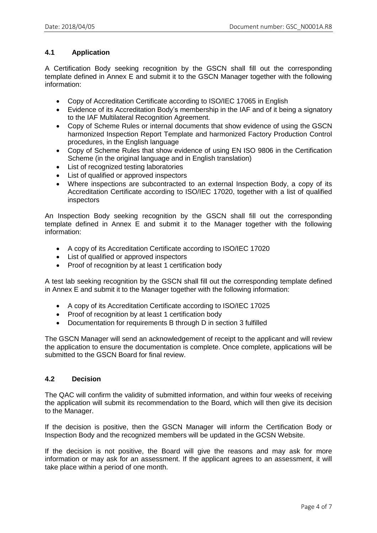## **4.1 Application**

A Certification Body seeking recognition by the GSCN shall fill out the corresponding template defined in Annex E and submit it to the GSCN Manager together with the following information:

- Copy of Accreditation Certificate according to ISO/IEC 17065 in English
- Evidence of its Accreditation Body's membership in the IAF and of it being a signatory to the IAF Multilateral Recognition Agreement.
- Copy of Scheme Rules or internal documents that show evidence of using the GSCN harmonized Inspection Report Template and harmonized Factory Production Control procedures, in the English language
- Copy of Scheme Rules that show evidence of using EN ISO 9806 in the Certification Scheme (in the original language and in English translation)
- List of recognized testing laboratories
- List of qualified or approved inspectors
- Where inspections are subcontracted to an external Inspection Body, a copy of its Accreditation Certificate according to ISO/IEC 17020, together with a list of qualified inspectors

An Inspection Body seeking recognition by the GSCN shall fill out the corresponding template defined in Annex E and submit it to the Manager together with the following information:

- A copy of its Accreditation Certificate according to ISO/IEC 17020
- List of qualified or approved inspectors
- Proof of recognition by at least 1 certification body

A test lab seeking recognition by the GSCN shall fill out the corresponding template defined in Annex E and submit it to the Manager together with the following information:

- A copy of its Accreditation Certificate according to ISO/IEC 17025
- Proof of recognition by at least 1 certification body
- Documentation for requirements B through D in section 3 fulfilled

The GSCN Manager will send an acknowledgement of receipt to the applicant and will review the application to ensure the documentation is complete. Once complete, applications will be submitted to the GSCN Board for final review.

## **4.2 Decision**

The QAC will confirm the validity of submitted information, and within four weeks of receiving the application will submit its recommendation to the Board, which will then give its decision to the Manager.

If the decision is positive, then the GSCN Manager will inform the Certification Body or Inspection Body and the recognized members will be updated in the GCSN Website.

If the decision is not positive, the Board will give the reasons and may ask for more information or may ask for an assessment. If the applicant agrees to an assessment, it will take place within a period of one month.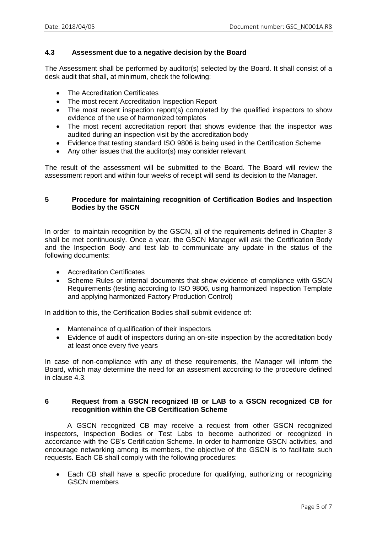## **4.3 Assessment due to a negative decision by the Board**

The Assessment shall be performed by auditor(s) selected by the Board. It shall consist of a desk audit that shall, at minimum, check the following:

- The Accreditation Certificates
- The most recent Accreditation Inspection Report
- The most recent inspection report(s) completed by the qualified inspectors to show evidence of the use of harmonized templates
- The most recent accreditation report that shows evidence that the inspector was audited during an inspection visit by the accreditation body
- Evidence that testing standard ISO 9806 is being used in the Certification Scheme
- Any other issues that the auditor(s) may consider relevant

The result of the assessment will be submitted to the Board. The Board will review the assessment report and within four weeks of receipt will send its decision to the Manager.

## **5 Procedure for maintaining recognition of Certification Bodies and Inspection Bodies by the GSCN**

In order to maintain recognition by the GSCN, all of the requirements defined in Chapter 3 shall be met continuously. Once a year, the GSCN Manager will ask the Certification Body and the Inspection Body and test lab to communicate any update in the status of the following documents:

- Accreditation Certificates
- Scheme Rules or internal documents that show evidence of compliance with GSCN Requirements (testing according to ISO 9806, using harmonized Inspection Template and applying harmonized Factory Production Control)

In addition to this, the Certification Bodies shall submit evidence of:

- Mantenaince of qualification of their inspectors
- Evidence of audit of inspectors during an on-site inspection by the accreditation body at least once every five years

In case of non-compliance with any of these requirements, the Manager will inform the Board, which may determine the need for an assesment according to the procedure defined in clause 4.3.

#### **6 Request from a GSCN recognized IB or LAB to a GSCN recognized CB for recognition within the CB Certification Scheme**

A GSCN recognized CB may receive a request from other GSCN recognized inspectors, Inspection Bodies or Test Labs to become authorized or recognized in accordance with the CB's Certification Scheme. In order to harmonize GSCN activities, and encourage networking among its members, the objective of the GSCN is to facilitate such requests. Each CB shall comply with the following procedures:

• Each CB shall have a specific procedure for qualifying, authorizing or recognizing GSCN members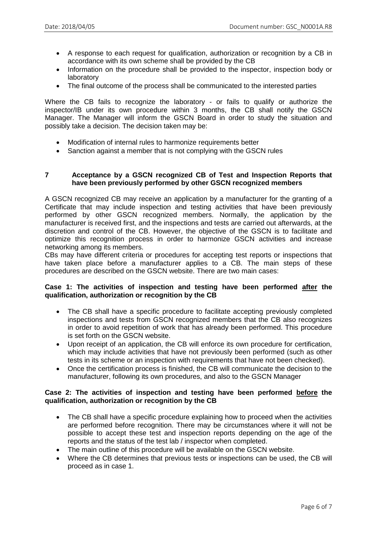- A response to each request for qualification, authorization or recognition by a CB in accordance with its own scheme shall be provided by the CB
- Information on the procedure shall be provided to the inspector, inspection body or laboratory
- The final outcome of the process shall be communicated to the interested parties

Where the CB fails to recognize the laboratory - or fails to qualify or authorize the inspector/IB under its own procedure within 3 months, the CB shall notify the GSCN Manager. The Manager will inform the GSCN Board in order to study the situation and possibly take a decision. The decision taken may be:

- Modification of internal rules to harmonize requirements better
- Sanction against a member that is not complying with the GSCN rules

#### **7 Acceptance by a GSCN recognized CB of Test and Inspection Reports that have been previously performed by other GSCN recognized members**

A GSCN recognized CB may receive an application by a manufacturer for the granting of a Certificate that may include inspection and testing activities that have been previously performed by other GSCN recognized members. Normally, the application by the manufacturer is received first, and the inspections and tests are carried out afterwards, at the discretion and control of the CB. However, the objective of the GSCN is to facilitate and optimize this recognition process in order to harmonize GSCN activities and increase networking among its members.

CBs may have different criteria or procedures for accepting test reports or inspections that have taken place before a manufacturer applies to a CB. The main steps of these procedures are described on the GSCN website. There are two main cases:

#### **Case 1: The activities of inspection and testing have been performed after the qualification, authorization or recognition by the CB**

- The CB shall have a specific procedure to facilitate accepting previously completed inspections and tests from GSCN recognized members that the CB also recognizes in order to avoid repetition of work that has already been performed. This procedure is set forth on the GSCN website.
- Upon receipt of an application, the CB will enforce its own procedure for certification, which may include activities that have not previously been performed (such as other tests in its scheme or an inspection with requirements that have not been checked).
- Once the certification process is finished, the CB will communicate the decision to the manufacturer, following its own procedures, and also to the GSCN Manager

#### **Case 2: The activities of inspection and testing have been performed before the qualification, authorization or recognition by the CB**

- The CB shall have a specific procedure explaining how to proceed when the activities are performed before recognition. There may be circumstances where it will not be possible to accept these test and inspection reports depending on the age of the reports and the status of the test lab / inspector when completed.
- The main outline of this procedure will be available on the GSCN website.
- Where the CB determines that previous tests or inspections can be used, the CB will proceed as in case 1.